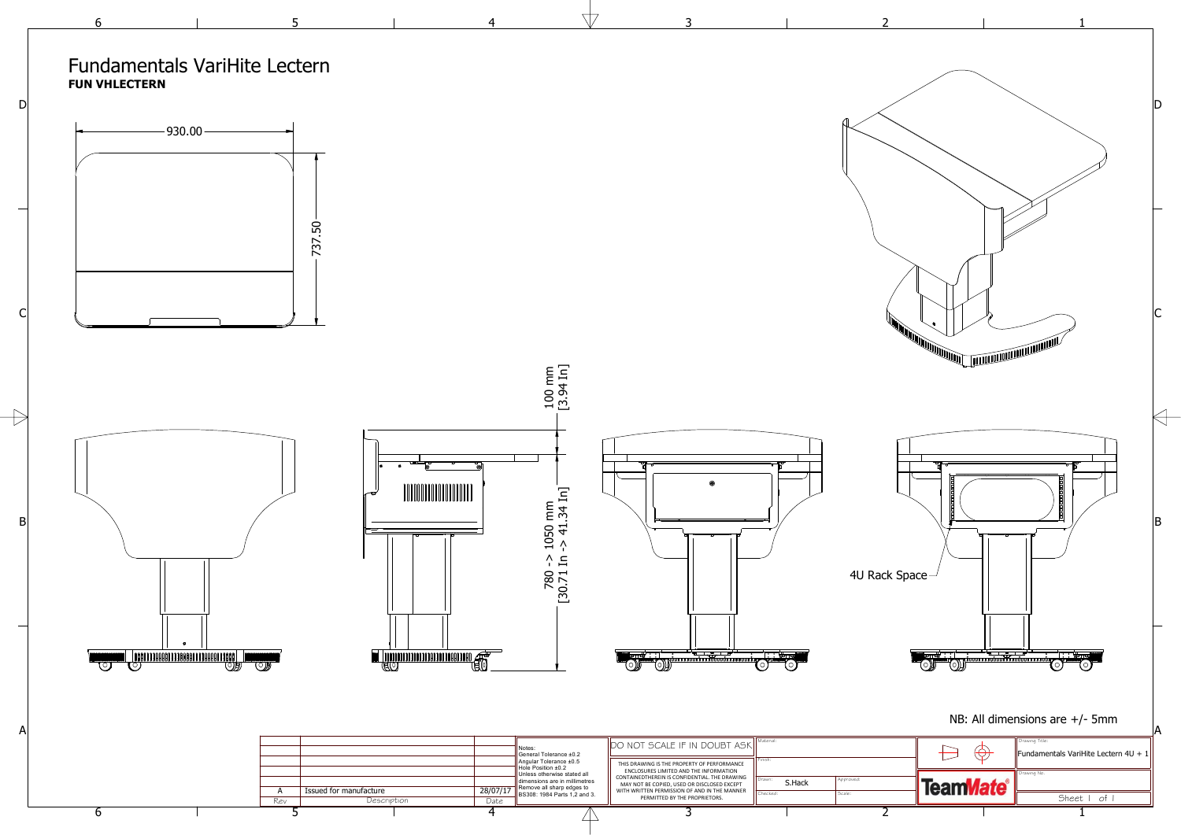